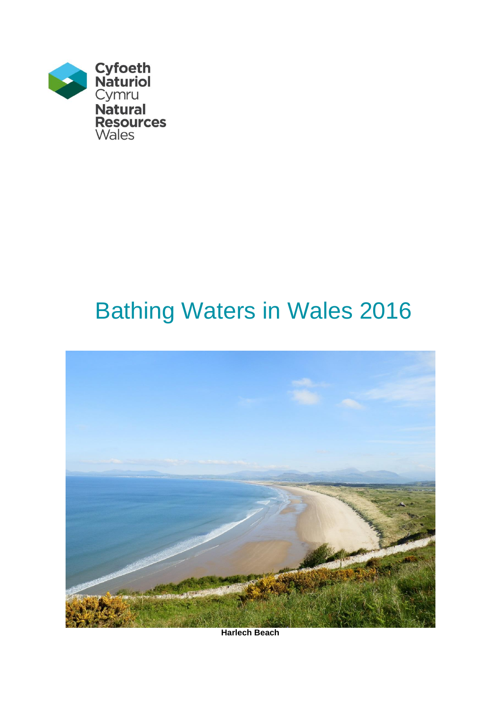

# Bathing Waters in Wales 2016



**Harlech Beach**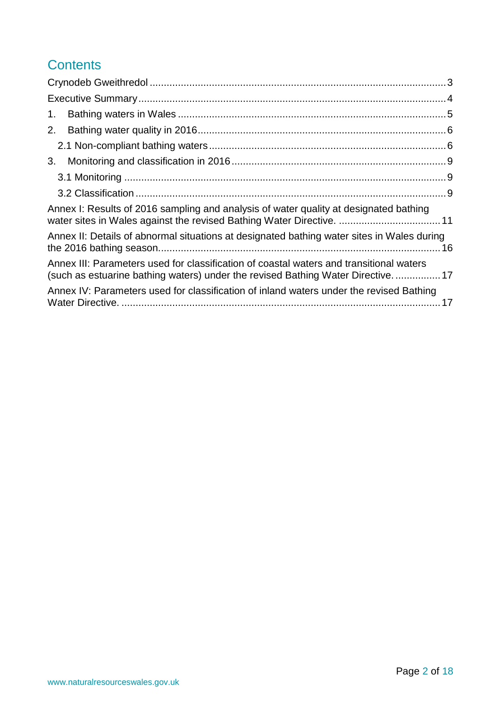# **Contents**

| 1.                                                                                                                                                                        |  |
|---------------------------------------------------------------------------------------------------------------------------------------------------------------------------|--|
| 2.                                                                                                                                                                        |  |
|                                                                                                                                                                           |  |
| 3.                                                                                                                                                                        |  |
|                                                                                                                                                                           |  |
|                                                                                                                                                                           |  |
| Annex I: Results of 2016 sampling and analysis of water quality at designated bathing<br>water sites in Wales against the revised Bathing Water Directive.  11            |  |
| Annex II: Details of abnormal situations at designated bathing water sites in Wales during                                                                                |  |
| Annex III: Parameters used for classification of coastal waters and transitional waters<br>(such as estuarine bathing waters) under the revised Bathing Water Directive17 |  |
| Annex IV: Parameters used for classification of inland waters under the revised Bathing                                                                                   |  |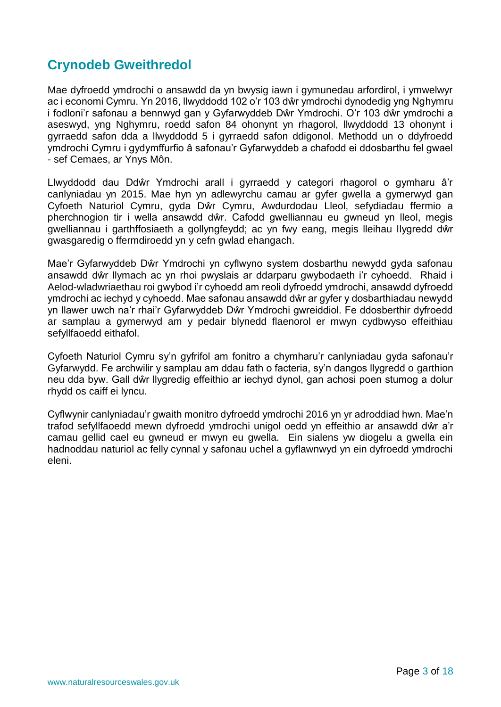## <span id="page-2-0"></span>**Crynodeb Gweithredol**

Mae dyfroedd ymdrochi o ansawdd da yn bwysig iawn i gymunedau arfordirol, i ymwelwyr ac i economi Cymru. Yn 2016, llwyddodd 102 o'r 103 dŵr ymdrochi dynodedig yng Nghymru i fodloni'r safonau a bennwyd gan y Gyfarwyddeb Dŵr Ymdrochi. O'r 103 dŵr ymdrochi a aseswyd, yng Nghymru, roedd safon 84 ohonynt yn rhagorol, llwyddodd 13 ohonynt i gyrraedd safon dda a llwyddodd 5 i gyrraedd safon ddigonol. Methodd un o ddyfroedd ymdrochi Cymru i gydymffurfio â safonau'r Gyfarwyddeb a chafodd ei ddosbarthu fel gwael - sef Cemaes, ar Ynys Môn.

Llwyddodd dau Ddŵr Ymdrochi arall i gyrraedd y categori rhagorol o gymharu â'r canlyniadau yn 2015. Mae hyn yn adlewyrchu camau ar gyfer gwella a gymerwyd gan Cyfoeth Naturiol Cymru, gyda Dŵr Cymru, Awdurdodau Lleol, sefydiadau ffermio a pherchnogion tir i wella ansawdd dŵr. Cafodd gwelliannau eu gwneud yn lleol, megis gwelliannau i garthffosiaeth a gollyngfeydd; ac yn fwy eang, megis lleihau llygredd dŵr gwasgaredig o ffermdiroedd yn y cefn gwlad ehangach.

Mae'r Gyfarwyddeb Dŵr Ymdrochi yn cyflwyno system dosbarthu newydd gyda safonau ansawdd dŵr llymach ac yn rhoi pwyslais ar ddarparu gwybodaeth i'r cyhoedd. Rhaid i Aelod-wladwriaethau roi gwybod i'r cyhoedd am reoli dyfroedd ymdrochi, ansawdd dyfroedd ymdrochi ac iechyd y cyhoedd. Mae safonau ansawdd dŵr ar gyfer y dosbarthiadau newydd yn llawer uwch na'r rhai'r Gyfarwyddeb Dŵr Ymdrochi gwreiddiol. Fe ddosberthir dyfroedd ar samplau a gymerwyd am y pedair blynedd flaenorol er mwyn cydbwyso effeithiau sefyllfaoedd eithafol.

Cyfoeth Naturiol Cymru sy'n gyfrifol am fonitro a chymharu'r canlyniadau gyda safonau'r Gyfarwydd. Fe archwilir y samplau am ddau fath o facteria, sy'n dangos llygredd o garthion neu dda byw. Gall dŵr llygredig effeithio ar iechyd dynol, gan achosi poen stumog a dolur rhydd os caiff ei lyncu.

Cyflwynir canlyniadau'r gwaith monitro dyfroedd ymdrochi 2016 yn yr adroddiad hwn. Mae'n trafod sefyllfaoedd mewn dyfroedd ymdrochi unigol oedd yn effeithio ar ansawdd dŵr a'r camau gellid cael eu gwneud er mwyn eu gwella. Ein sialens yw diogelu a gwella ein hadnoddau naturiol ac felly cynnal y safonau uchel a gyflawnwyd yn ein dyfroedd ymdrochi eleni.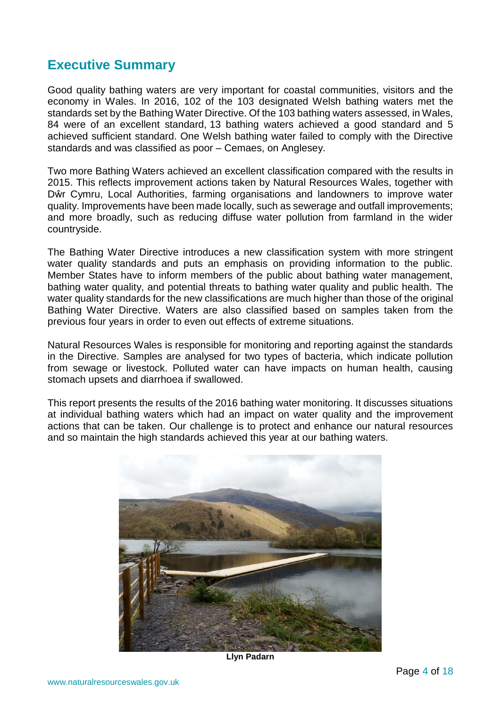## <span id="page-3-0"></span>**Executive Summary**

Good quality bathing waters are very important for coastal communities, visitors and the economy in Wales. In 2016, 102 of the 103 designated Welsh bathing waters met the standards set by the Bathing Water Directive. Of the 103 bathing waters assessed, in Wales, 84 were of an excellent standard, 13 bathing waters achieved a good standard and 5 achieved sufficient standard. One Welsh bathing water failed to comply with the Directive standards and was classified as poor – Cemaes, on Anglesey.

Two more Bathing Waters achieved an excellent classification compared with the results in 2015. This reflects improvement actions taken by Natural Resources Wales, together with Dŵr Cymru, Local Authorities, farming organisations and landowners to improve water quality. Improvements have been made locally, such as sewerage and outfall improvements; and more broadly, such as reducing diffuse water pollution from farmland in the wider countryside.

The Bathing Water Directive introduces a new classification system with more stringent water quality standards and puts an emphasis on providing information to the public. Member States have to inform members of the public about bathing water management, bathing water quality, and potential threats to bathing water quality and public health. The water quality standards for the new classifications are much higher than those of the original Bathing Water Directive. Waters are also classified based on samples taken from the previous four years in order to even out effects of extreme situations.

Natural Resources Wales is responsible for monitoring and reporting against the standards in the Directive. Samples are analysed for two types of bacteria, which indicate pollution from sewage or livestock. Polluted water can have impacts on human health, causing stomach upsets and diarrhoea if swallowed.

This report presents the results of the 2016 bathing water monitoring. It discusses situations at individual bathing waters which had an impact on water quality and the improvement actions that can be taken. Our challenge is to protect and enhance our natural resources and so maintain the high standards achieved this year at our bathing waters.



**Llyn Padarn**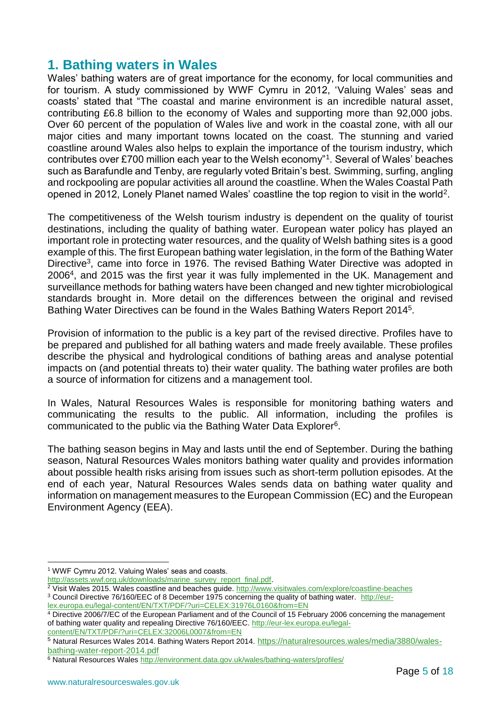## <span id="page-4-0"></span>**1. Bathing waters in Wales**

Wales' bathing waters are of great importance for the economy, for local communities and for tourism. A study commissioned by WWF Cymru in 2012, 'Valuing Wales' seas and coasts' stated that "The coastal and marine environment is an incredible natural asset, contributing £6.8 billion to the economy of Wales and supporting more than 92,000 jobs. Over 60 percent of the population of Wales live and work in the coastal zone, with all our major cities and many important towns located on the coast. The stunning and varied coastline around Wales also helps to explain the importance of the tourism industry, which contributes over £700 million each year to the Welsh economy"<sup>1</sup> . Several of Wales' beaches such as Barafundle and Tenby, are regularly voted Britain's best. Swimming, surfing, angling and rockpooling are popular activities all around the coastline. When the Wales Coastal Path opened in 2012, Lonely Planet named Wales' coastline the top region to visit in the world<sup>2</sup>.

The competitiveness of the Welsh tourism industry is dependent on the quality of tourist destinations, including the quality of bathing water. European water policy has played an important role in protecting water resources, and the quality of Welsh bathing sites is a good example of this. The first European bathing water legislation, in the form of the Bathing Water Directive<sup>3</sup>, came into force in 1976. The revised Bathing Water Directive was adopted in 2006<sup>4</sup> , and 2015 was the first year it was fully implemented in the UK. Management and surveillance methods for bathing waters have been changed and new tighter microbiological standards brought in. More detail on the differences between the original and revised Bathing Water Directives can be found in the Wales Bathing Waters Report 2014<sup>5</sup>.

Provision of information to the public is a key part of the revised directive. Profiles have to be prepared and published for all bathing waters and made freely available. These profiles describe the physical and hydrological conditions of bathing areas and analyse potential impacts on (and potential threats to) their water quality. The bathing water profiles are both a source of information for citizens and a management tool.

In Wales, Natural Resources Wales is responsible for monitoring bathing waters and communicating the results to the public. All information, including the profiles is communicated to the public via the Bathing Water Data Explorer<sup>6</sup> .

The bathing season begins in May and lasts until the end of September. During the bathing season, Natural Resources Wales monitors bathing water quality and provides information about possible health risks arising from issues such as short-term pollution episodes. At the end of each year, Natural Resources Wales sends data on bathing water quality and information on management measures to the European Commission (EC) and the European Environment Agency (EEA).

<sup>&</sup>lt;u>.</u> <sup>1</sup> WWF Cymru 2012. Valuing Wales' seas and coasts.

[http://assets.wwf.org.uk/downloads/marine\\_survey\\_report\\_final.pdf.](http://assets.wwf.org.uk/downloads/marine_survey_report_final.pdf)

<sup>&</sup>lt;sup>2</sup> Visit Wales 2015. Wales coastline and beaches guide.<http://www.visitwales.com/explore/coastline-beaches>

<sup>&</sup>lt;sup>3</sup> Council Directive 76/160/EEC of 8 December 1975 concerning the quality of bathing water. [http://eur-](http://eur-lex.europa.eu/legal-content/EN/TXT/PDF/?uri=CELEX:31976L0160&from=EN)

[lex.europa.eu/legal-content/EN/TXT/PDF/?uri=CELEX:31976L0160&from=EN](http://eur-lex.europa.eu/legal-content/EN/TXT/PDF/?uri=CELEX:31976L0160&from=EN)

<sup>&</sup>lt;sup>4</sup> Directive 2006/7/EC of the European Parliament and of the Council of 15 February 2006 concerning the management of bathing water quality and repealing Directive 76/160/EEC. [http://eur-lex.europa.eu/legal](http://eur-lex.europa.eu/legal-content/EN/TXT/PDF/?uri=CELEX:32006L0007&from=EN)[content/EN/TXT/PDF/?uri=CELEX:32006L0007&from=EN](http://eur-lex.europa.eu/legal-content/EN/TXT/PDF/?uri=CELEX:32006L0007&from=EN)

<sup>5</sup> Natural Resurces Wales 2014. Bathing Waters Report 2014. [https://naturalresources.wales/media/3880/wales](https://naturalresources.wales/media/3880/wales-bathing-water-report-2014.pdf)[bathing-water-report-2014.pdf](https://naturalresources.wales/media/3880/wales-bathing-water-report-2014.pdf)

<sup>&</sup>lt;sup>6</sup> Natural Resources Wales<http://environment.data.gov.uk/wales/bathing-waters/profiles/>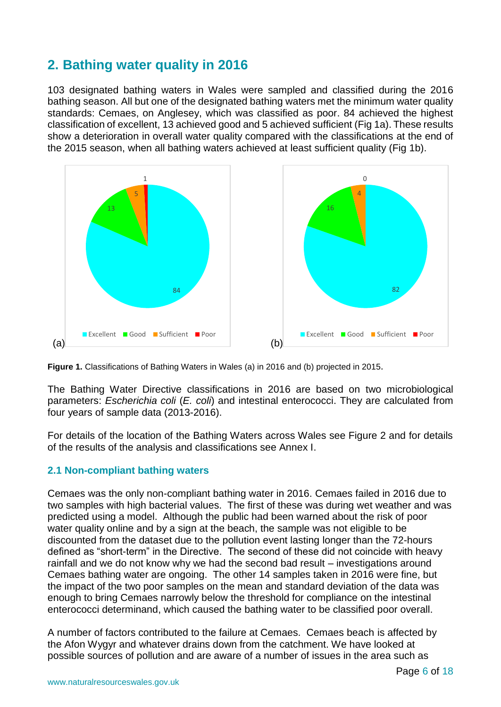# <span id="page-5-0"></span>**2. Bathing water quality in 2016**

103 designated bathing waters in Wales were sampled and classified during the 2016 bathing season. All but one of the designated bathing waters met the minimum water quality standards: Cemaes, on Anglesey, which was classified as poor. 84 achieved the highest classification of excellent, 13 achieved good and 5 achieved sufficient (Fig 1a). These results show a deterioration in overall water quality compared with the classifications at the end of the 2015 season, when all bathing waters achieved at least sufficient quality (Fig 1b).





The Bathing Water Directive classifications in 2016 are based on two microbiological parameters: *Escherichia coli* (*E. coli*) and intestinal enterococci. They are calculated from four years of sample data (2013-2016).

For details of the location of the Bathing Waters across Wales see Figure 2 and for details of the results of the analysis and classifications see Annex I.

#### <span id="page-5-1"></span>**2.1 Non-compliant bathing waters**

Cemaes was the only non-compliant bathing water in 2016. Cemaes failed in 2016 due to two samples with high bacterial values. The first of these was during wet weather and was predicted using a model. Although the public had been warned about the risk of poor water quality online and by a sign at the beach, the sample was not eligible to be discounted from the dataset due to the pollution event lasting longer than the 72-hours defined as "short-term" in the Directive. The second of these did not coincide with heavy rainfall and we do not know why we had the second bad result – investigations around Cemaes bathing water are ongoing. The other 14 samples taken in 2016 were fine, but the impact of the two poor samples on the mean and standard deviation of the data was enough to bring Cemaes narrowly below the threshold for compliance on the intestinal enterococci determinand, which caused the bathing water to be classified poor overall.

A number of factors contributed to the failure at Cemaes. Cemaes beach is affected by the Afon Wygyr and whatever drains down from the catchment. We have looked at possible sources of pollution and are aware of a number of issues in the area such as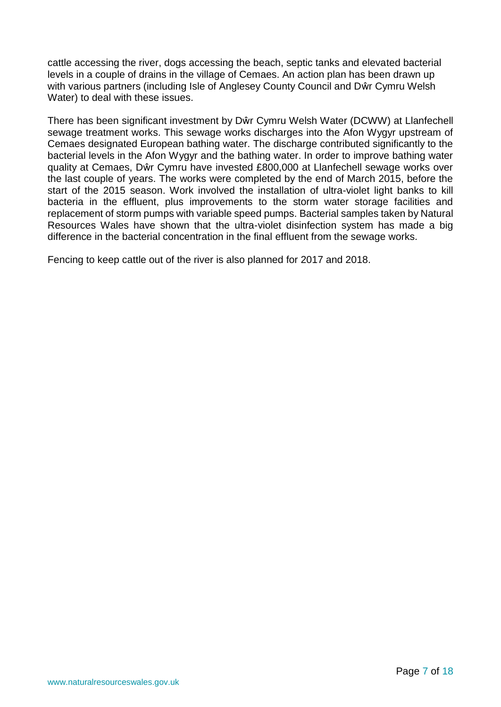cattle accessing the river, dogs accessing the beach, septic tanks and elevated bacterial levels in a couple of drains in the village of Cemaes. An action plan has been drawn up with various partners (including Isle of Anglesey County Council and Dŵr Cymru Welsh Water) to deal with these issues.

There has been significant investment by Dŵr Cymru Welsh Water (DCWW) at Llanfechell sewage treatment works. This sewage works discharges into the Afon Wygyr upstream of Cemaes designated European bathing water. The discharge contributed significantly to the bacterial levels in the Afon Wygyr and the bathing water. In order to improve bathing water quality at Cemaes, Dŵr Cymru have invested £800,000 at Llanfechell sewage works over the last couple of years. The works were completed by the end of March 2015, before the start of the 2015 season. Work involved the installation of ultra-violet light banks to kill bacteria in the effluent, plus improvements to the storm water storage facilities and replacement of storm pumps with variable speed pumps. Bacterial samples taken by Natural Resources Wales have shown that the ultra-violet disinfection system has made a big difference in the bacterial concentration in the final effluent from the sewage works.

Fencing to keep cattle out of the river is also planned for 2017 and 2018.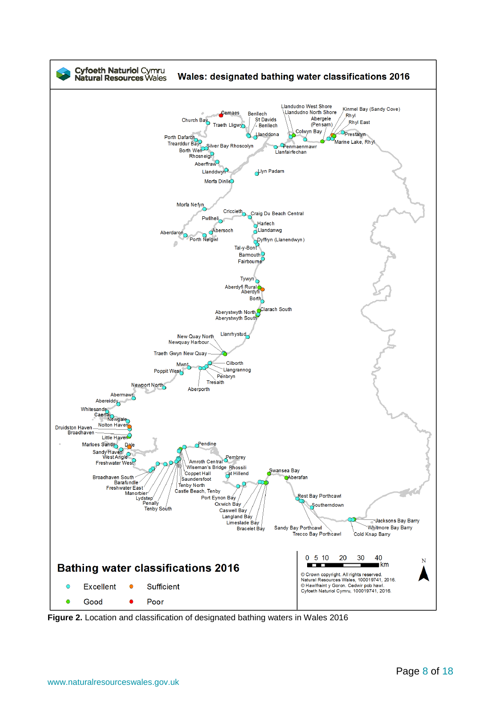

**Figure 2.** Location and classification of designated bathing waters in Wales 2016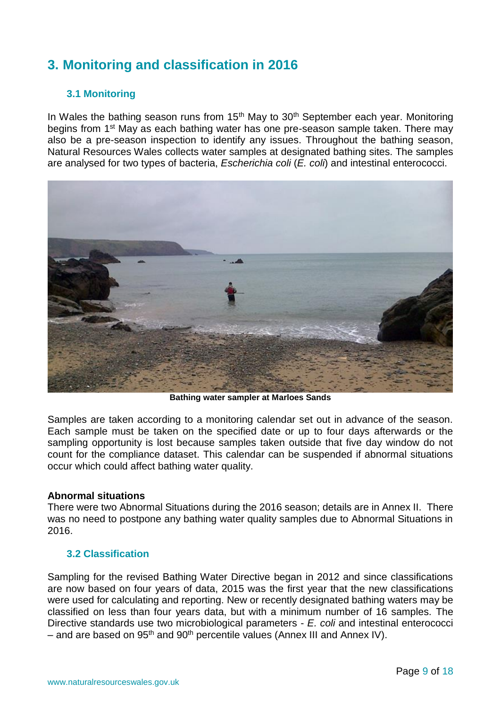## <span id="page-8-0"></span>**3. Monitoring and classification in 2016**

#### <span id="page-8-1"></span>**3.1 Monitoring**

In Wales the bathing season runs from  $15<sup>th</sup>$  May to  $30<sup>th</sup>$  September each year. Monitoring begins from 1<sup>st</sup> May as each bathing water has one pre-season sample taken. There may also be a pre-season inspection to identify any issues. Throughout the bathing season, Natural Resources Wales collects water samples at designated bathing sites. The samples are analysed for two types of bacteria, *Escherichia coli* (*E. coli*) and intestinal enterococci.



**Bathing water sampler at Marloes Sands**

Samples are taken according to a monitoring calendar set out in advance of the season. Each sample must be taken on the specified date or up to four days afterwards or the sampling opportunity is lost because samples taken outside that five day window do not count for the compliance dataset. This calendar can be suspended if abnormal situations occur which could affect bathing water quality.

#### **Abnormal situations**

There were two Abnormal Situations during the 2016 season; details are in Annex II. There was no need to postpone any bathing water quality samples due to Abnormal Situations in 2016.

#### <span id="page-8-2"></span>**3.2 Classification**

Sampling for the revised Bathing Water Directive began in 2012 and since classifications are now based on four years of data, 2015 was the first year that the new classifications were used for calculating and reporting. New or recently designated bathing waters may be classified on less than four years data, but with a minimum number of 16 samples. The Directive standards use two microbiological parameters - *E. coli* and intestinal enterococci – and are based on 95<sup>th</sup> and 90<sup>th</sup> percentile values (Annex III and Annex IV).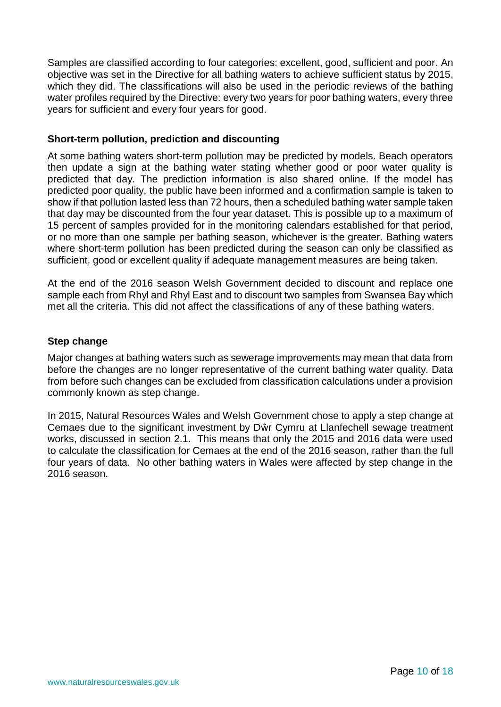Samples are classified according to four categories: excellent, good, sufficient and poor. An objective was set in the Directive for all bathing waters to achieve sufficient status by 2015, which they did. The classifications will also be used in the periodic reviews of the bathing water profiles required by the Directive: every two years for poor bathing waters, every three years for sufficient and every four years for good.

#### **Short-term pollution, prediction and discounting**

At some bathing waters short-term pollution may be predicted by models. Beach operators then update a sign at the bathing water stating whether good or poor water quality is predicted that day. The prediction information is also shared online. If the model has predicted poor quality, the public have been informed and a confirmation sample is taken to show if that pollution lasted less than 72 hours, then a scheduled bathing water sample taken that day may be discounted from the four year dataset. This is possible up to a maximum of 15 percent of samples provided for in the monitoring calendars established for that period, or no more than one sample per bathing season, whichever is the greater. Bathing waters where short-term pollution has been predicted during the season can only be classified as sufficient, good or excellent quality if adequate management measures are being taken.

At the end of the 2016 season Welsh Government decided to discount and replace one sample each from Rhyl and Rhyl East and to discount two samples from Swansea Bay which met all the criteria. This did not affect the classifications of any of these bathing waters.

#### **Step change**

Major changes at bathing waters such as sewerage improvements may mean that data from before the changes are no longer representative of the current bathing water quality. Data from before such changes can be excluded from classification calculations under a provision commonly known as step change.

In 2015, Natural Resources Wales and Welsh Government chose to apply a step change at Cemaes due to the significant investment by Dŵr Cymru at Llanfechell sewage treatment works, discussed in section 2.1. This means that only the 2015 and 2016 data were used to calculate the classification for Cemaes at the end of the 2016 season, rather than the full four years of data. No other bathing waters in Wales were affected by step change in the 2016 season.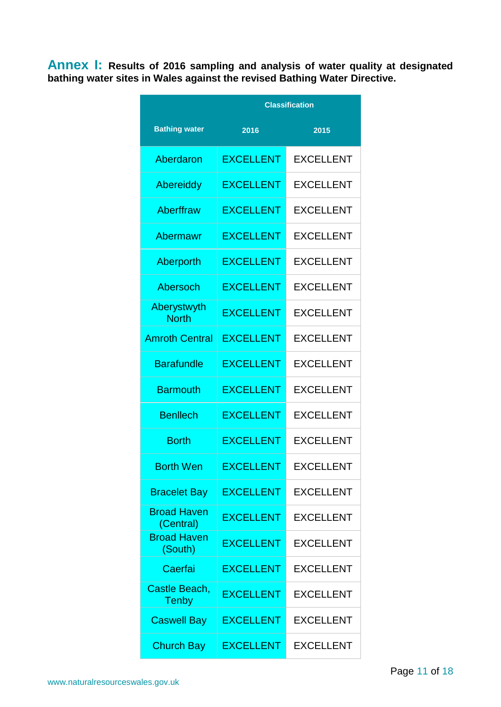<span id="page-10-0"></span>**Annex I: Results of 2016 sampling and analysis of water quality at designated bathing water sites in Wales against the revised Bathing Water Directive.**

|                                 | <b>Classification</b> |                  |  |
|---------------------------------|-----------------------|------------------|--|
| <b>Bathing water</b>            | 2016<br>2015          |                  |  |
| Aberdaron                       | <b>EXCELLENT</b>      | <b>EXCELLENT</b> |  |
| <b>Abereiddy</b>                | <b>EXCELLENT</b>      | <b>EXCELLENT</b> |  |
| Aberffraw                       | <b>EXCELLENT</b>      | <b>EXCELLENT</b> |  |
| Abermawr                        | <b>EXCELLENT</b>      | <b>EXCELLENT</b> |  |
| Aberporth                       | <b>EXCELLENT</b>      | <b>EXCELLENT</b> |  |
| Abersoch                        | <b>EXCELLENT</b>      | <b>EXCELLENT</b> |  |
| Aberystwyth<br><b>North</b>     | <b>EXCELLENT</b>      | <b>EXCELLENT</b> |  |
| <b>Amroth Central</b>           | <b>EXCELLENT</b>      | <b>EXCELLENT</b> |  |
| <b>Barafundle</b>               | <b>EXCELLENT</b>      | <b>EXCELLENT</b> |  |
| <b>Barmouth</b>                 | <b>EXCELLENT</b>      | <b>EXCELLENT</b> |  |
| <b>Benllech</b>                 | <b>EXCELLENT</b>      | <b>EXCELLENT</b> |  |
| <b>Borth</b>                    | <b>EXCELLENT</b>      | <b>EXCELLENT</b> |  |
| <b>Borth Wen</b>                | <b>EXCELLENT</b>      | <b>EXCELLENT</b> |  |
| <b>Bracelet Bay</b>             | <b>EXCELLENT</b>      | <b>EXCELLENT</b> |  |
| <b>Broad Haven</b><br>(Central) | <b>EXCELLENT</b>      | <b>EXCELLENT</b> |  |
| <b>Broad Haven</b><br>(South)   | <b>EXCELLENT</b>      | <b>EXCELLENT</b> |  |
| Caerfai                         | <b>EXCELLENT</b>      | <b>EXCELLENT</b> |  |
| Castle Beach,<br><b>Tenby</b>   | <b>EXCELLENT</b>      | <b>EXCELLENT</b> |  |
| <b>Caswell Bay</b>              | <b>EXCELLENT</b>      | <b>EXCELLENT</b> |  |
| <b>Church Bay</b>               | <b>EXCELLENT</b>      | <b>EXCELLENT</b> |  |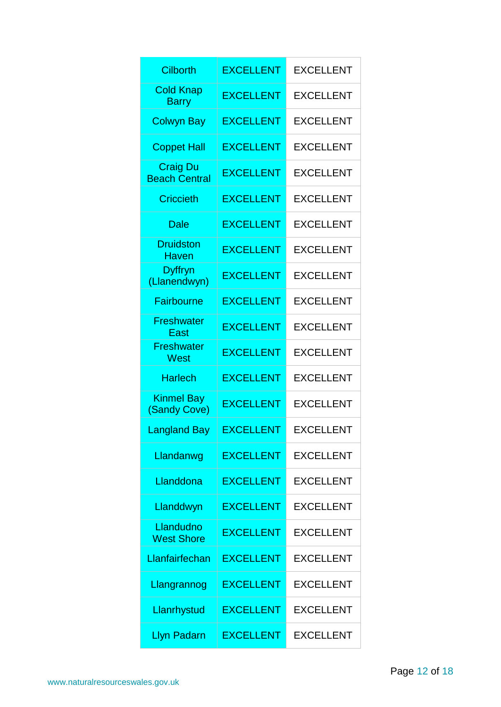| <b>Cilborth</b>                         | <b>EXCELLENT</b> | <b>EXCELLENT</b> |
|-----------------------------------------|------------------|------------------|
| <b>Cold Knap</b><br><b>Barry</b>        | <b>EXCELLENT</b> | <b>EXCELLENT</b> |
| <b>Colwyn Bay</b>                       | <b>EXCELLENT</b> | <b>EXCELLENT</b> |
| <b>Coppet Hall</b>                      | <b>EXCELLENT</b> | <b>EXCELLENT</b> |
| <b>Craig Du</b><br><b>Beach Central</b> | <b>EXCELLENT</b> | <b>EXCELLENT</b> |
| <b>Criccieth</b>                        | <b>EXCELLENT</b> | <b>EXCELLENT</b> |
| <b>Dale</b>                             | <b>EXCELLENT</b> | <b>EXCELLENT</b> |
| <b>Druidston</b><br><b>Haven</b>        | <b>EXCELLENT</b> | <b>EXCELLENT</b> |
| Dyffryn<br>(Llanendwyn)                 | <b>EXCELLENT</b> | <b>EXCELLENT</b> |
| <b>Fairbourne</b>                       | <b>EXCELLENT</b> | <b>EXCELLENT</b> |
| <b>Freshwater</b><br>East               | <b>EXCELLENT</b> | <b>EXCELLENT</b> |
| <b>Freshwater</b><br>West               | <b>EXCELLENT</b> | <b>EXCELLENT</b> |
| <b>Harlech</b>                          | <b>EXCELLENT</b> | <b>EXCELLENT</b> |
| <b>Kinmel Bay</b><br>(Sandy Cove)       | <b>EXCELLENT</b> | <b>EXCELLENT</b> |
| <b>Langland Bay</b>                     | <b>EXCELLENT</b> | EXCELLENT        |
| Llandanwg                               | <b>EXCELLENT</b> | <b>EXCELLENT</b> |
| Llanddona                               | <b>EXCELLENT</b> | <b>EXCELLENT</b> |
| Llanddwyn                               | <b>EXCELLENT</b> | <b>EXCELLENT</b> |
| Llandudno<br><b>West Shore</b>          | <b>EXCELLENT</b> | <b>EXCELLENT</b> |
| Llanfairfechan                          | <b>EXCELLENT</b> | <b>EXCELLENT</b> |
| Llangrannog                             | <b>EXCELLENT</b> | <b>EXCELLENT</b> |
| Llanrhystud                             | <b>EXCELLENT</b> | <b>EXCELLENT</b> |
| <b>Llyn Padarn</b>                      | <b>EXCELLENT</b> | <b>EXCELLENT</b> |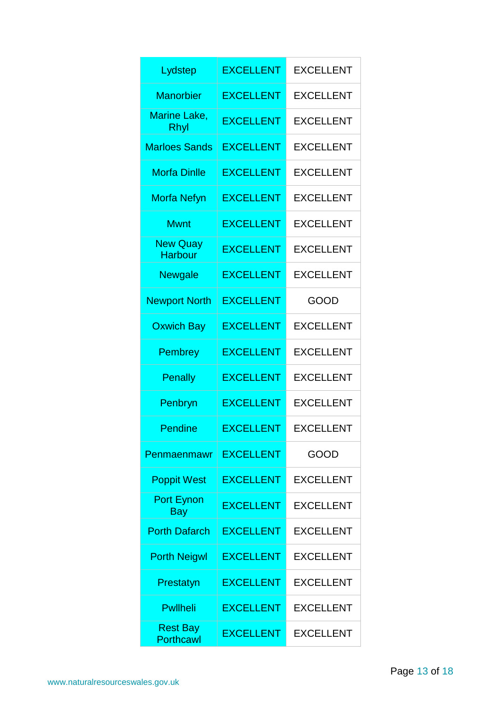| Lydstep                             | <b>EXCELLENT</b> | <b>EXCELLENT</b> |  |
|-------------------------------------|------------------|------------------|--|
| <b>Manorbier</b>                    | <b>EXCELLENT</b> | <b>EXCELLENT</b> |  |
| Marine Lake,<br>Rhyl                | <b>EXCELLENT</b> | <b>EXCELLENT</b> |  |
| <b>Marloes Sands</b>                | <b>EXCELLENT</b> | <b>EXCELLENT</b> |  |
| <b>Morfa Dinlle</b>                 | <b>EXCELLENT</b> | <b>EXCELLENT</b> |  |
| <b>Morfa Nefyn</b>                  | <b>EXCELLENT</b> | <b>EXCELLENT</b> |  |
| <b>Mwnt</b>                         | <b>EXCELLENT</b> | <b>EXCELLENT</b> |  |
| <b>New Quay</b><br><b>Harbour</b>   | <b>EXCELLENT</b> | <b>EXCELLENT</b> |  |
| <b>Newgale</b>                      | <b>EXCELLENT</b> | <b>EXCELLENT</b> |  |
| <b>Newport North</b>                | <b>EXCELLENT</b> | GOOD             |  |
| <b>Oxwich Bay</b>                   | <b>EXCELLENT</b> | <b>EXCELLENT</b> |  |
| <b>Pembrey</b>                      | <b>EXCELLENT</b> | <b>EXCELLENT</b> |  |
| <b>Penally</b>                      | <b>EXCELLENT</b> | <b>EXCELLENT</b> |  |
| Penbryn                             | <b>EXCELLENT</b> | <b>EXCELLENT</b> |  |
| <b>Pendine</b>                      | <b>EXCELLENT</b> | <b>EXCELLENT</b> |  |
| Penmaenmawr                         | <b>EXCELLENT</b> | GOOD             |  |
| <b>Poppit West</b>                  | <b>EXCELLENT</b> | <b>EXCELLENT</b> |  |
| <b>Port Eynon</b><br>Bay            | <b>EXCELLENT</b> | <b>EXCELLENT</b> |  |
| <b>Porth Dafarch</b>                | <b>EXCELLENT</b> | <b>EXCELLENT</b> |  |
| <b>Porth Neigwl</b>                 | <b>EXCELLENT</b> | <b>EXCELLENT</b> |  |
| Prestatyn                           | <b>EXCELLENT</b> | <b>EXCELLENT</b> |  |
| <b>Pwllheli</b>                     | <b>EXCELLENT</b> | <b>EXCELLENT</b> |  |
| <b>Rest Bay</b><br><b>Porthcawl</b> | <b>EXCELLENT</b> | <b>EXCELLENT</b> |  |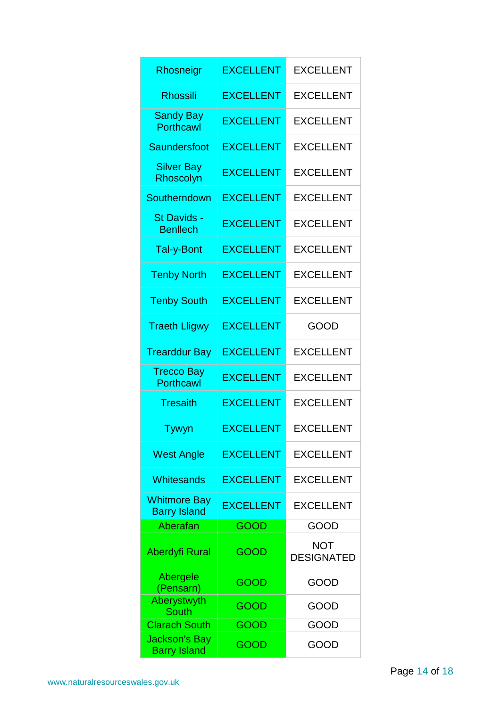| Rhosneigr                                   | <b>EXCELLENT</b> | <b>EXCELLENT</b>                |  |
|---------------------------------------------|------------------|---------------------------------|--|
| <b>Rhossili</b>                             | <b>EXCELLENT</b> | <b>EXCELLENT</b>                |  |
| <b>Sandy Bay</b><br><b>Porthcawl</b>        | <b>EXCELLENT</b> | <b>EXCELLENT</b>                |  |
| Saundersfoot                                | <b>EXCELLENT</b> | <b>EXCELLENT</b>                |  |
| <b>Silver Bay</b><br>Rhoscolyn              | <b>EXCELLENT</b> | <b>EXCELLENT</b>                |  |
| Southerndown                                | <b>EXCELLENT</b> | <b>EXCELLENT</b>                |  |
| St Davids -<br><b>Benllech</b>              | <b>EXCELLENT</b> | <b>EXCELLENT</b>                |  |
| Tal-y-Bont                                  | <b>EXCELLENT</b> | <b>EXCELLENT</b>                |  |
| <b>Tenby North</b>                          | <b>EXCELLENT</b> | <b>EXCELLENT</b>                |  |
| <b>Tenby South</b>                          | <b>EXCELLENT</b> | <b>EXCELLENT</b>                |  |
| <b>Traeth Lligwy</b>                        | <b>EXCELLENT</b> | GOOD                            |  |
| <b>Trearddur Bay</b>                        | <b>EXCELLENT</b> | <b>EXCELLENT</b>                |  |
| <b>Trecco Bay</b><br><b>Porthcawl</b>       | <b>EXCELLENT</b> | <b>EXCELLENT</b>                |  |
| <b>Tresaith</b>                             | <b>EXCELLENT</b> | <b>EXCELLENT</b>                |  |
| Tywyn                                       | <b>EXCELLENT</b> | <b>EXCELLENT</b>                |  |
| <b>West Angle</b>                           | <b>EXCELLENT</b> | <b>EXCELLENT</b>                |  |
| Whitesands                                  | <b>EXCELLENT</b> | <b>EXCELLENT</b>                |  |
| <b>Whitmore Bay</b><br><b>Barry Island</b>  | <b>EXCELLENT</b> | <b>EXCELLENT</b>                |  |
| Aberafan                                    | <b>GOOD</b>      | GOOD                            |  |
| <b>Aberdyfi Rural</b>                       | GOOD             | <b>NOT</b><br><b>DESIGNATED</b> |  |
| Abergele<br>(Pensarn)                       | GOOD             | GOOD                            |  |
| Aberystwyth<br><b>South</b>                 | GOOD             | GOOD                            |  |
| <b>Clarach South</b>                        | GOOD             | GOOD                            |  |
| <b>Jackson's Bay</b><br><b>Barry Island</b> | GOOD             | GOOD                            |  |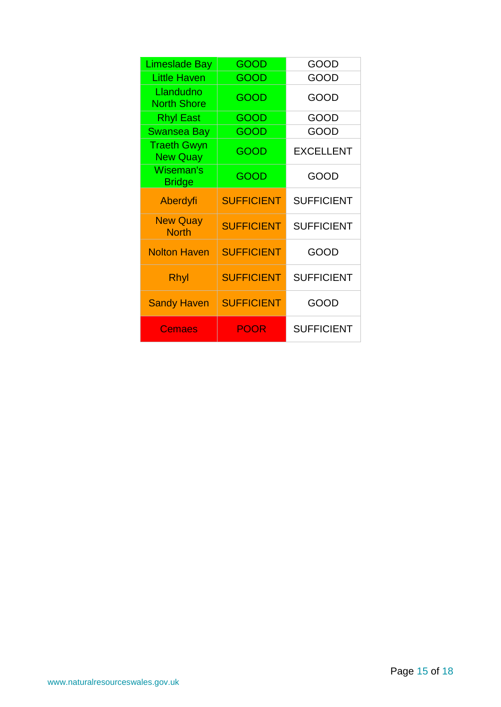| <b>Limeslade Bay</b>                  | <b>GOOD</b>              | GOOD              |
|---------------------------------------|--------------------------|-------------------|
| <b>Little Haven</b>                   | GOOD                     | GOOD              |
| Llandudno<br><b>North Shore</b>       | GOOD                     | GOOD              |
| <b>Rhyl East</b>                      | GOOD                     | GOOD              |
| <b>Swansea Bay</b>                    | GOOD                     | GOOD              |
| <b>Traeth Gwyn</b><br><b>New Quay</b> | GOOD<br><b>EXCELLENT</b> |                   |
| Wiseman's<br><b>Bridge</b>            | GOOD                     | GOOD              |
| Aberdyfi                              | <b>SUFFICIENT</b>        | <b>SUFFICIENT</b> |
| <b>New Quay</b><br><b>North</b>       | <b>SUFFICIENT</b>        | <b>SUFFICIENT</b> |
| <b>Nolton Haven</b>                   | <b>SUFFICIENT</b>        | GOOD              |
| Rhyl                                  | <b>SUFFICIENT</b>        | <b>SUFFICIENT</b> |
| <b>Sandy Haven</b>                    | <b>SUFFICIENT</b>        | GOOD              |
| Cemaes                                | <b>POOR</b>              | <b>SUFFICIENT</b> |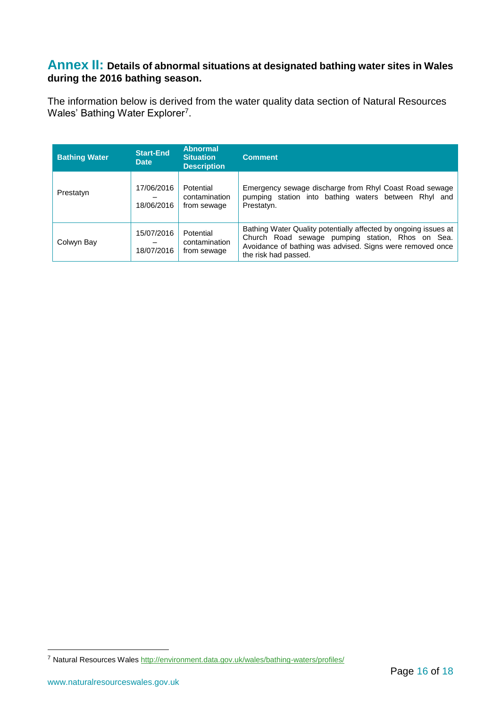#### <span id="page-15-0"></span>**Annex II: Details of abnormal situations at designated bathing water sites in Wales during the 2016 bathing season.**

The information below is derived from the water quality data section of Natural Resources Wales' Bathing Water Explorer<sup>7</sup>.

| <b>Bathing Water</b> | <b>Start-End</b><br><b>Date</b> | <b>Abnormal</b><br><b>Situation</b><br><b>Description</b> | <b>Comment</b>                                                                                                                                                                                           |
|----------------------|---------------------------------|-----------------------------------------------------------|----------------------------------------------------------------------------------------------------------------------------------------------------------------------------------------------------------|
| Prestatyn            | 17/06/2016<br>18/06/2016        | Potential<br>contamination<br>from sewage                 | Emergency sewage discharge from Rhyl Coast Road sewage<br>pumping station into bathing waters between Rhyl and<br>Prestatyn.                                                                             |
| Colwyn Bay           | 15/07/2016<br>18/07/2016        | Potential<br>contamination<br>from sewage                 | Bathing Water Quality potentially affected by ongoing issues at<br>Church Road sewage pumping station, Rhos on Sea.<br>Avoidance of bathing was advised. Signs were removed once<br>the risk had passed. |

<u>.</u>

<sup>7</sup> Natural Resources Wale[s http://environment.data.gov.uk/wales/bathing-waters/profiles/](http://environment.data.gov.uk/wales/bathing-waters/profiles/)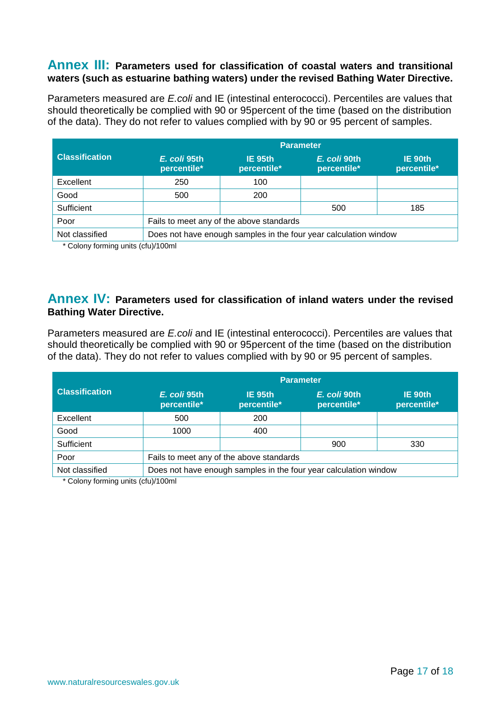#### <span id="page-16-0"></span>**Annex III: Parameters used for classification of coastal waters and transitional waters (such as estuarine bathing waters) under the revised Bathing Water Directive.**

Parameters measured are *E.coli* and IE (intestinal enterococci). Percentiles are values that should theoretically be complied with 90 or 95percent of the time (based on the distribution of the data). They do not refer to values complied with by 90 or 95 percent of samples.

|                       | <b>Parameter</b>                                                 |                        |                             |                        |
|-----------------------|------------------------------------------------------------------|------------------------|-----------------------------|------------------------|
| <b>Classification</b> | E. coli 95th<br>percentile*                                      | IE 95th<br>percentile* | E. coli 90th<br>percentile* | IE 90th<br>percentile* |
| Excellent             | 250                                                              | 100                    |                             |                        |
| Good                  | 500                                                              | 200                    |                             |                        |
| Sufficient            |                                                                  |                        | 500                         | 185                    |
| Poor                  | Fails to meet any of the above standards                         |                        |                             |                        |
| Not classified        | Does not have enough samples in the four year calculation window |                        |                             |                        |

\* Colony forming units (cfu)/100ml

#### <span id="page-16-1"></span>**Annex IV: Parameters used for classification of inland waters under the revised Bathing Water Directive.**

Parameters measured are *E.coli* and IE (intestinal enterococci). Percentiles are values that should theoretically be complied with 90 or 95percent of the time (based on the distribution of the data). They do not refer to values complied with by 90 or 95 percent of samples.

|                       | <b>Parameter</b>                                                 |                        |                             |                        |
|-----------------------|------------------------------------------------------------------|------------------------|-----------------------------|------------------------|
| <b>Classification</b> | E. coli 95th<br>percentile*                                      | IE 95th<br>percentile* | E. coli 90th<br>percentile* | IE 90th<br>percentile* |
| Excellent             | 500                                                              | 200                    |                             |                        |
| Good                  | 1000                                                             | 400                    |                             |                        |
| Sufficient            |                                                                  |                        | 900                         | 330                    |
| Poor                  | Fails to meet any of the above standards                         |                        |                             |                        |
| Not classified        | Does not have enough samples in the four year calculation window |                        |                             |                        |

\* Colony forming units (cfu)/100ml